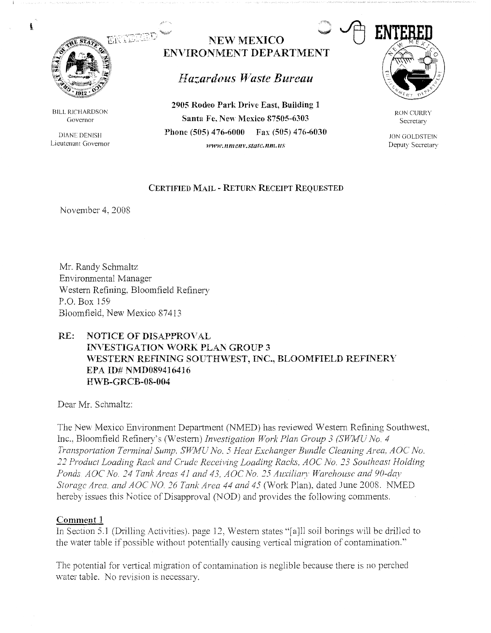

 $\mathbf{t}$ 

BILL RICHARDSON Governor

DIANE DENISII Lieutenant Governor

# **NEW MEXICO ENVIRONMENT DEPARTMENT**

# *Hazardous Waste Bureau*

**2905 Rodeo Park Drive East, Building 1 Santa Fe, New Mexico 87505-6303 Phone (505) 476-6000 Fax (505) 476-6030 www.11111e111·.state.11m.us** 



RON CURRY Secretary

**JON GOLDSTEIN** Deputy Secretary

## **CERTIFIED MAIL - RETURN RECEIPT REQUESTED**

November 4, *2008* 

Mr. Randy Schmaltz Environmental Manager Western Refining, Bloomfield Refinery P.O. Box 159 Bloomfield, New Mexico 87413

# **RE: NOTICE OF DISAPPROVAL INVESTIGATION ·woRK PLAN GROUP 3**  WESTERN REFINING SOUTHWEST, INC., BLOOMFIELD REFINERY **EPA ID# NMD089416416 H\VB-GRCB-08-004**

Dear Mr. Schmaltz:

The New Mexico Environment Department (NMED) has reviewed Western Refining Southwest, Inc., Bloomfield Refinery's (Western) *Investigation Work Plan Group 3 (SWMU No. 4 Transportation Terminal Sump. SW.MU No. 5 Heat Exchanger Bundle Cleaning Area, AOC No. 11 Product Loading Rack and Crude Receiving Loading Racks, AOC No. 13 Southeast Holding*  Ponds, AOC No. 24 Tank Areas 41 and 43, AOC No. 25 Auxiliary Warehouse and 90-day *Storage Arca. and AOC NO 16 Tank Area 44 and 45* (Work Plan), dated June *2008.* NMED hereby issues this Notice of Disapproval (NOD) and provides the following comments.

## **Comment 1**

In Section 5.] (Drilling Activities). page 12, Western states "[a]ll soil borings will be drilled to the water table if possible without potentially causing vertical migration of contamination."

The potential for vertical migration of contamination is neglible because there is no perched water table. No revision is necessary.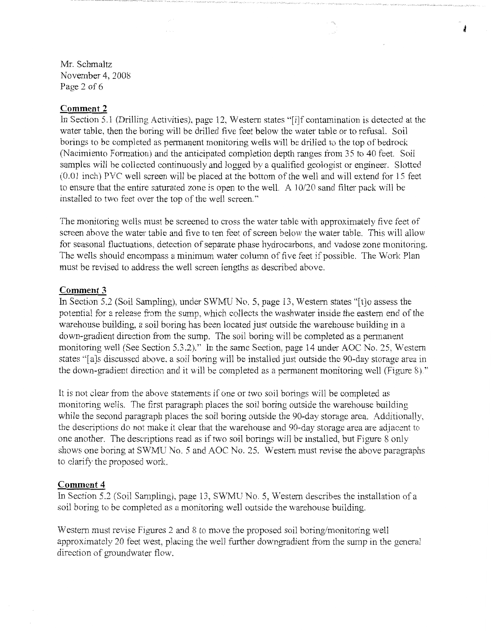Mr. Schmaltz November 4, 2008 Page 2 of 6

#### **Comment 2**

In Section 5.1 (Drilling Activities), page 12, Western states "[i]f contamination is detected at the water table, then the boring will be drilled five feet below the water table or to refusal. Soil borings to be completed as permanent monitoring wells will be drilled to the top of bedrock (Nacimiento Formation) and the anticipated completion depth ranges from 35 to 40 feet. Soil samples will be collected continuously and logged by a qualified geologist or engineer. Slotted (0.01 inch) PVC well screen will be placed at the bottom of the well and will extend for 15 feet to ensure that the entire saturated zone is open to the well. A 10/20 sand filter pack will be installed to two feet over the top of the well screen."

The monitoring wells must be screened to cross the water table with approximately five feet of screen above the water table and five to ten feet of screen below the water table. This will allow for seasonal fluctuations, detection of separate phase hydrocarbons, and vadose zone monitoring. The wells should encompass a minimum water column of five feet if possible. The Work Plan must be revised to address the well screen lengths as described above.

## **Comment 3**

In Section 5.2 (Soil Sampling), under SWMU No. 5, page 13, Western states "[t]o assess the potential for a release from the sump, which collects the washwater inside the eastern end of the warehouse building, a soil boring has been located just outside the warehouse building in a down-gradient direction from the sump. The soil boring will be completed as a permanent monitoring well (See Section 5.3.2)." In the same Section, page 14 under AOC No. 25, Western states "[a]s discussed above, a soil boring will be installed just outside the 90-day storage area in the down-gradient direction and it will be completed as a permanent monitoring well (Figure 8)."

It is not clear from the above statements if one or two soil borings will be completed as monitoring wells. The first paragraph places the soil boring outside the warehouse building while the second paragraph places the soil boring outside the 90-day storage area. Additionally, the descriptions do not make it clear that the warehouse and 90-day storage area are adjacent to one another. The descriptions read as if two soil borings will be installed, but Figure 8 only shows one boring at SWMU No. 5 and AOC No. 25. Western must revise the above paragraphs to clarify the proposed work.

## **Comment 4**

In Section 5.2 (Soil Sampling), page 13, SWMU No. 5, Western describes the installation of a soil boring to be completed as a monitoring well outside the warehouse building.

Western must revise Figures 2 and 8 to move the proposed soil boring/monitoring well approximately 20 feet west, placing the well further downgradient from the sump in the general direction of groundwater flow.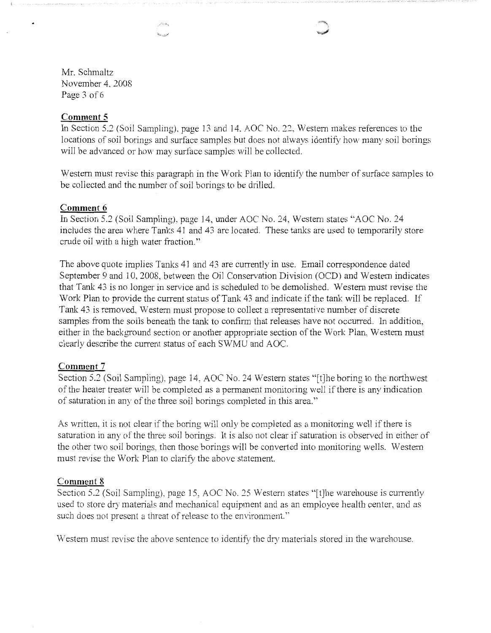Mr. Schmaltz November 4, 2008 Page 3 of 6

### **Comment 5**

In Section 5.2 (Soil Sampling). page 13 and 14. AOC No. 22, Western makes references to the locations of soil borings and surface samples but does not always identify how many soil borings will be advanced or how may surface samples will be collected.

Western must revise this paragraph in the Work Plan to identify the number of surface samples to be collected and the number of soil borings to be drilled.

#### **Comment 6**

In Section 5.2 (Soil Sampling), page 14, under AOC No. 24, Western states ''AOC No. 24 includes the area where Tanks 41 and 43 are located. These tanks are used to temporarily store crude oil with a high water fraction."

The above quote implies Tanks 41 and 43 are currently in use. Email correspondence dated September 9 and 10, 2008, between the Oil Conservation Division (OCD) and Western indicates that Tank 43 is no longer in service and is scheduled to be demolished. Western must revise the Work Plan to provide the current status of Tank 43 and indicate if the tank will be replaced. If Tank 43 is removed, Western must propose to collect a representative number of discrete samples from the soils beneath the tank to confirm that releases have not occurred. In addition, either in the background section or another appropriate section of the Work Plan, Western must clearly describe the current status of each SV/MU and AOC.

#### **Comment 7**

Section 5.2 (Soil Sampling). page 14, AOC No. 24 Western states "[t]he boring to the northwest of the heater treater will be completed as a permanent monitoring well if there is any indication of saturation in any of the three soil borings completed in this area."

As written, it is not clear if the boring will only be completed as a monitoring well if there is saturation in any of the three soil borings. It is also not clear if saturation is observed in either of the other two soil borings, then those borings will be converted into monitoring wells. Western must revise the Work Plan to clarify the above statement.

#### **Comment 8**

Section 5.2 (Soil Sampling), page 15, AOC No. 25 Western states "[t]he warehouse is currently used to store dry materials and mechanical equipment and as an employee health center, and as such does not present a threat of release to the environment."

Western must revise the above sentence to identify the dry materials stored in the warehouse.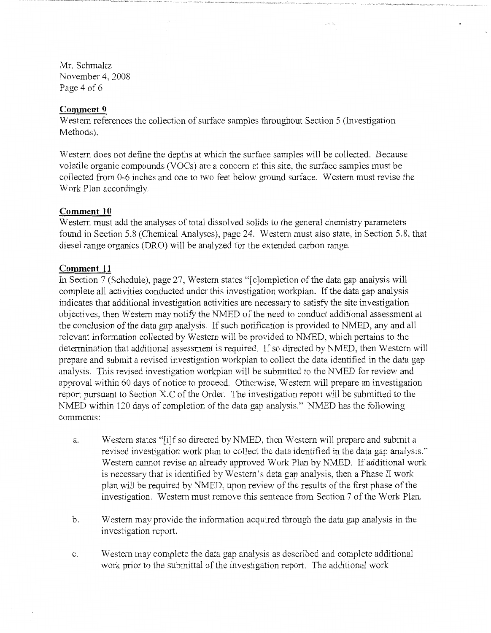Mr. Schmaltz November 4, 2008 Page 4 of 6

#### **Comment 9**

Western references the collection of surface samples throughout Section 5 (Investigation Methods).

Western does not define the depths at which the surface samples will be collected. Because volatile organic compounds (VOCs) are a concern at this site, the surface samples must be collected from 0-6 inches and one to two feet below ground surface. W estem must revise the Work Plan accordingly.

### **Comment 10**

Western must add the analyses of total dissolved solids to the general chemistry parameters found in Section 5.8 (Chemical Analyses), page 24. Western must also state, in Section 5.8, that diesel range organics (DRO) will be analyzed for the extended carbon range.

#### **Comment 11**

In Section 7 (Schedule), page 27, Western states "[c]ompletion of the data gap analysis will complete all activities conducted under this investigation workplan. If the data gap analysis indicates that additional investigation activities are necessary to satisfy the site investigation objectives, then Western may notify the NMED of the need to conduct additional assessment at the conclusion of the data gap analysis. If such notification is provided to NMED, any and all relevant information collected by Western will be provided to NMED, which pertains to the determination that additional assessment is required. If so directed by NMED, then Western will prepare and submit a revised investigation workplan to collect the data identified in the data gap analysis. This revised investigation workplan will be submitted to the NMED for review and approval within 60 days of notice to proceed. Otherwise, Western will prepare an investigation report pursuant to Section X.C of the Order. The investigation report will be submitted to the NMED within 120 days of completion of the data gap analysis." NMED has the following comments:

- a. Western states "[i]f so directed by NMED, then Western will prepare and submit a revised investigation work plan to collect the data identified in the data gap analysis." Western cannot revise an already approved Work Plan by NMED. If additional work is necessary that is identified by Western's data gap analysis, then a Phase II work plan will be required by NMED, upon review of the results of the first phase of the investigation. Western must remove this sentence from Section 7 of the Work Plan.
- b. Western may provide the information acquired through the data gap analysis in the investigation report.
- c. Western may complete the data gap analysis as described and complete additional work prior to the submittal of the investigation report. The additional work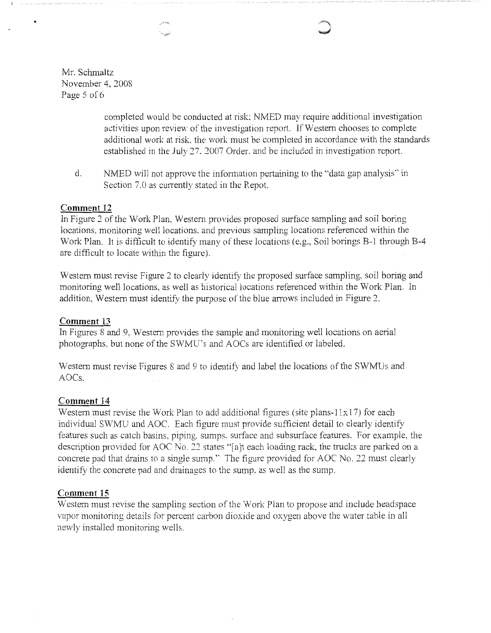Mr. Schmaltz November 4, 2008 Page 5 of 6

> completed would be conducted at risk; NMED may require additional investigation activities upon review of the investigation report. If Western chooses to complete additional work at risk. the work must be completed in accordance with the standards established in the July 27, 2007 Order, and be included in investigation report.

d. NMED will not approve the information pertaining to the "data gap analysis" in Section 7.0 as currently stated in the Repot.

### **Comment 12**

In Figure *2* of the Work Plan. Western provides proposed surface sampling and soil boring locations, monitoring well locations. and previous sampling locations referenced within the Work Plan. It is difficult to identify many of these locations (e.g., Soil borings B-1 through B-4 are difficult to locate within the figure).

Western must revise Figure 2 to clearly identify the proposed surface sampling, soil boring and monitoring well locations, as well as historical locations referenced within the Work Plan. In addition, Western must identify the purpose of the blue arrows included in Figure 2.

#### **Comment 13**

In Figures 8 and 9, Western provides the sample and monitoring well locations on aerial photographs, but none of the SWMU's and AOCs are identified or labeled.

Western must revise Figures 8 and 9 to identify and label the locations of the SWMUs and AOCs.

#### **Comment 14**

Western must revise the Work Plan to add additional figures (site plans-11x17) for each individual SWMU and AOC. Each figure must provide sufficient detail to clearly identify features such as catch basins. piping. sumps. surface and subsurface features. For example, the description provided for AOC No. *22* states "[a]t each loading rack, the tmcks are parked on a concrete pad that drains to a single sump.'' The figure provided for AOC No. *22* must clearly identify the concrete pad and drainages to the sump, as well as the sump.

## **Comment 15**

Western must revise the sampling section of the Work Plan to propose and include headspace vapor monitoring details for percent carbon dioxide and oxygen above the water table in all newly installed monitoring wells.